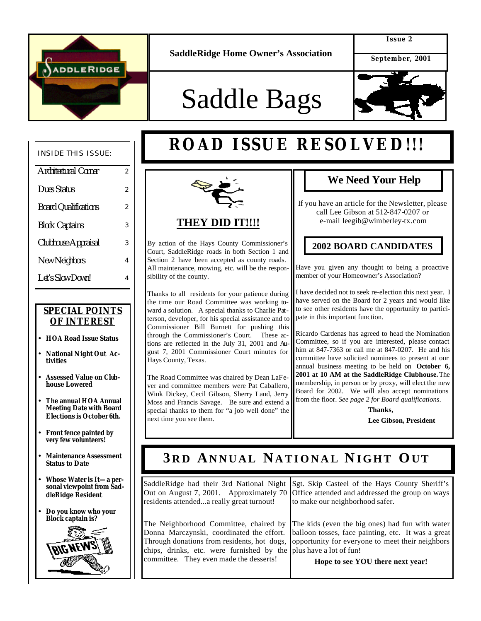

**SaddleRidge Home Owner's Association**

**Issue 2**

 **September, 2001**

# Saddle Bags

**ROAD ISSUE RESOLVED!!!**



#### INSIDE THIS ISSUE:

| Architectural Corner        | 2 |
|-----------------------------|---|
| <b>Dues Status</b>          | 2 |
| <b>Board Qualifications</b> | 2 |
| <b>Block Captains</b>       | 3 |
| Clubhouse Appraisal         | 3 |
| <b>New Neighbors</b>        | 4 |
| Let's Slow Down!            | 4 |

### *SPECIAL POINTS OF INTEREST*

- **HOA Road Issue Status**
- **National Night Out Activities**
- **Assessed Value on Clubhouse Lowered**
- **The annual HOA Annual Meeting Date with Board Elections is October 6th.**
- **Front fence painted by very few volunteers!**
- **Maintenance Assessment Status to Date**
- **Whose Water is It—a personal viewpoint from SaddleRidge Resident**
- **Do you know who your Block captain is?**





By action of the Hays County Commissioner's Court, SaddleRidge roads in both Section 1 and Section 2 have been accepted as county roads. All maintenance, mowing, etc. will be the responsibility of the county.

Thanks to all residents for your patience during the time our Road Committee was working toward a solution. A special thanks to Charlie Patterson, developer, for his special assistance and to Commissioner Bill Burnett for pushing this through the Commissioner's Court. These actions are reflected in the July 31, 2001 and August 7, 2001 Commissioner Court minutes for Hays County, Texas.

The Road Committee was chaired by Dean LaFever and committee members were Pat Caballero, Wink Dickey, Cecil Gibson, Sherry Land, Jerry Moss and Francis Savage. Be sure and extend a special thanks to them for "a job well done" the next time you see them.

### **We Need Your Help**

If you have an article for the Newsletter, please call Lee Gibson at 512-847-0207 or e-mail leegib@wimberley-tx.com

### **2002 BOARD CANDIDATES**

Have you given any thought to being a proactive member of your Homeowner's Association?

I have decided not to seek re-election this next year. I have served on the Board for 2 years and would like to see other residents have the opportunity to participate in this important function.

Ricardo Cardenas has agreed to head the Nomination Committee, so if you are interested, please contact him at 847-7363 or call me at 847-0207. He and his committee have solicited nominees to present at our annual business meeting to be held on **October 6, 2001 at 10 AM at the SaddleRidge Clubhouse.** The membership, in person or by proxy, will elect the new Board for 2002. We will also accept nominations from the floor. *See page 2 for Board qualifications*.

> **Thanks, Lee Gibson, President**

# **3 R D ANNUAL NATIONAL N IGHT OUT**

| SaddleRidge had their 3rd National Night<br>residents attendeda really great turnout!                        | Sgt. Skip Casteel of the Hays County Sheriff's<br>Out on August 7, 2001. Approximately 70 Office attended and addressed the group on ways<br>to make our neighborhood safer.                                                                                                                                               |
|--------------------------------------------------------------------------------------------------------------|----------------------------------------------------------------------------------------------------------------------------------------------------------------------------------------------------------------------------------------------------------------------------------------------------------------------------|
| chips, drinks, etc. were furnished by the plus have a lot of fun!<br>committee. They even made the desserts! | The Neighborhood Committee, chaired by The kids (even the big ones) had fun with water<br>Donna Marczynski, coordinated the effort. balloon tosses, face painting, etc. It was a great<br>Through donations from residents, hot dogs, opportunity for everyone to meet their neighbors<br>Hope to see YOU there next year! |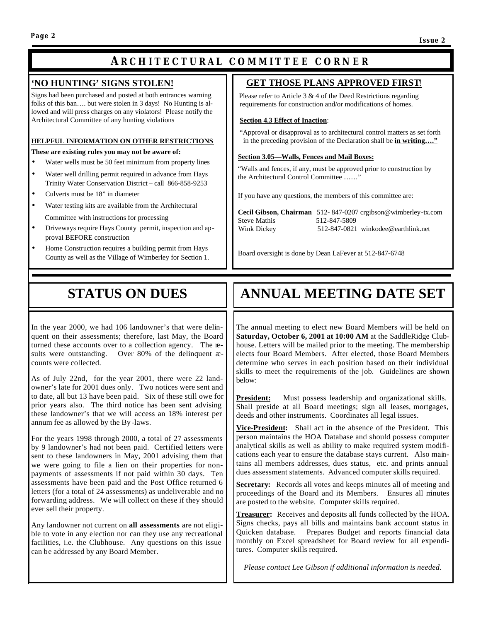### **A RCHITECTURAL COMMITTEE CORNER**

#### **'NO HUNTING' SIGNS STOLEN!**

Signs had been purchased and posted at both entrances warning folks of this ban…. but were stolen in 3 days! No Hunting is allowed and will press charges on any violators! Please notify the Architectural Committee of any hunting violations

#### **HELPFUL INFORMATION ON OTHER RESTRICTIONS**

**These are existing rules you may not be aware of:**

- Water wells must be 50 feet minimum from property lines
- Water well drilling permit required in advance from Hays Trinity Water Conservation District – call 866-858-9253
- Culverts must be 18" in diameter
- Water testing kits are available from the Architectural Committee with instructions for processing
- Driveways require Hays County permit, inspection and approval BEFORE construction
- Home Construction requires a building permit from Hays County as well as the Village of Wimberley for Section 1.

#### **GET THOSE PLANS APPROVED FIRST**!

Please refer to Article 3  $& 4$  of the Deed Restrictions regarding requirements for construction and/or modifications of homes.

#### **Section 4.3 Effect of Inaction**:

 "Approval or disapproval as to architectural control matters as set forth in the preceding provision of the Declaration shall be **in writing…."**

#### **Section 3.05—Walls, Fences and Mail Boxes:**

 "Walls and fences, if any, must be approved prior to construction by the Architectural Control Committee ......"

If you have any questions, the members of this committee are:

|                     | <b>Cecil Gibson, Chairman</b> 512-847-0207 crgibson@wimberley-tx.com |
|---------------------|----------------------------------------------------------------------|
| <b>Steve Mathis</b> | 512-847-5809                                                         |
| Wink Dickey         | 512-847-0821 winkodee@earthlink.net                                  |

Board oversight is done by Dean LaFever at 512-847-6748

# **STATUS ON DUES**

In the year 2000, we had 106 landowner's that were delinquent on their assessments; therefore, last May, the Board turned these accounts over to a collection agency. The results were outstanding. Over 80% of the delinquent  $x$ counts were collected.

As of July 22nd, for the year 2001, there were 22 landowner's late for 2001 dues only. Two notices were sent and to date, all but 13 have been paid. Six of these still owe for prior years also. The third notice has been sent advising these landowner's that we will access an 18% interest per annum fee as allowed by the By -laws.

For the years 1998 through 2000, a total of 27 assessments by 9 landowner's had not been paid. Certified letters were sent to these landowners in May, 2001 advising them that we were going to file a lien on their properties for nonpayments of assessments if not paid within 30 days. Ten assessments have been paid and the Post Office returned 6 letters (for a total of 24 assessments) as undeliverable and no forwarding address. We will collect on these if they should ever sell their property.

Any landowner not current on **all assessments** are not eligible to vote in any election nor can they use any recreational facilities, i.e. the Clubhouse. Any questions on this issue can be addressed by any Board Member.

# **ANNUAL MEETING DATE SET**

The annual meeting to elect new Board Members will be held on **Saturday, October 6, 2001 at 10:00 AM** at the SaddleRidge Clubhouse. Letters will be mailed prior to the meeting. The membership elects four Board Members. After elected, those Board Members determine who serves in each position based on their individual skills to meet the requirements of the job. Guidelines are shown below:

**President:** Must possess leadership and organizational skills. Shall preside at all Board meetings; sign all leases, mortgages, deeds and other instruments. Coordinates all legal issues.

**Vice-President:** Shall act in the absence of the President. This person maintains the HOA Database and should possess computer analytical skills as well as ability to make required system modifications each year to ensure the database stays current. Also maintains all members addresses, dues status, etc. and prints annual dues assessment statements. Advanced computer skills required.

**Secretary:** Records all votes and keeps minutes all of meeting and proceedings of the Board and its Members. Ensures all minutes are posted to the website. Computer skills required.

**Treasurer:** Receives and deposits all funds collected by the HOA. Signs checks, pays all bills and maintains bank account status in Quicken database. Prepares Budget and reports financial data monthly on Excel spreadsheet for Board review for all expenditures. Computer skills required.

*Please contact Lee Gibson if additional information is needed.*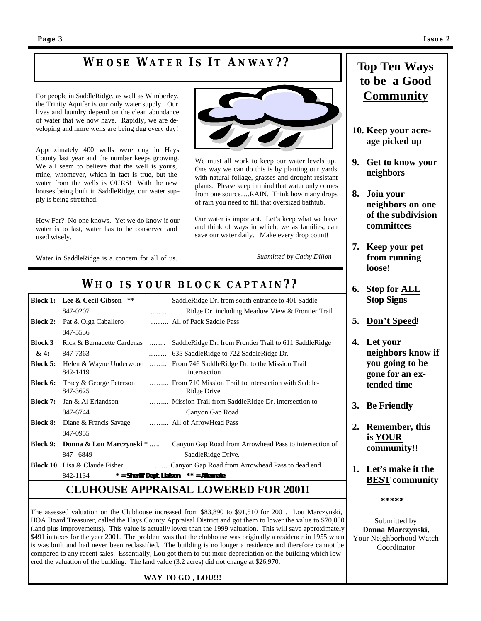# **W HOSE W ATER I S IT A NWAY ? ?**

For people in SaddleRidge, as well as Wimberley, the Trinity Aquifer is our only water supply. Our lives and laundry depend on the clean abundance of water that we now have. Rapidly, we are developing and more wells are being dug every day!

Approximately 400 wells were dug in Hays County last year and the number keeps growing. We all seem to believe that the well is yours, mine, whomever, which in fact is true, but the water from the wells is OURS! With the new houses being built in SaddleRidge, our water supply is being stretched.

How Far? No one knows. Yet we do know if our water is to last, water has to be conserved and used wisely.

Water in SaddleRidge is a concern for all of us.



We must all work to keep our water levels up. One way we can do this is by planting our yards with natural foliage, grasses and drought resistant plants. Please keep in mind that water only comes from one source….RAIN. Think how many drops of rain you need to fill that oversized bathtub.

Our water is important. Let's keep what we have and think of ways in which, we as families, can save our water daily. Make every drop count!

*Submitted by Cathy Dillon*

## *W H O I S YOUR BLOCK CAPTAIN? ?*

|                 | <b>Block 1:</b> Lee & Cecil Gibson<br>**                       |   | SaddleRidge Dr. from south entrance to 401 Saddle-                                                      |
|-----------------|----------------------------------------------------------------|---|---------------------------------------------------------------------------------------------------------|
|                 | 847-0207                                                       | . | Ridge Dr. including Meadow View & Frontier Trail                                                        |
| <b>Block 2:</b> | Pat & Olga Caballero                                           |   | All of Pack Saddle Pass                                                                                 |
|                 | 847-5536                                                       |   |                                                                                                         |
| <b>Block 3</b>  |                                                                |   | Rick & Bernadette Cardenas  SaddleRidge Dr. from Frontier Trail to 611 SaddleRidge                      |
| &4:             | 847-7363                                                       |   |                                                                                                         |
|                 | 842-1419                                                       |   | <b>Block 5:</b> Helen & Wayne Underwood  From 746 Saddle Ridge Dr. to the Mission Trail<br>intersection |
| Block 6:        | Tracy & George Peterson<br>847-3625                            |   | From 710 Mission Trail to intersection with Saddle-<br>Ridge Drive                                      |
|                 | <b>Block 7:</b> Jan & Al Erlandson                             |   | Mission Trail from SaddleRidge Dr. intersection to                                                      |
|                 | 847-6744                                                       |   | Canyon Gap Road                                                                                         |
|                 | <b>Block 8:</b> Diane & Francis Savage  All of Arrow Head Pass |   |                                                                                                         |
|                 | 847-0955                                                       |   |                                                                                                         |
|                 | Block 9: Donna & Lou Marczynski *                              |   | Canyon Gap Road from Arrowhead Pass to intersection of                                                  |
|                 | $847 - 6849$                                                   |   | SaddleRidge Drive.                                                                                      |
|                 | <b>Block 10</b> Lisa & Claude Fisher                           |   | Canyon Gap Road from Arrowhead Pass to dead end                                                         |
|                 | 842-1134                                                       |   | * = Sheriff Dept. Liaison ** = Alternate                                                                |

### **CLUHOUSE APPRAISAL LOWERED FOR 2001!**

The assessed valuation on the Clubhouse increased from \$83,890 to \$91,510 for 2001. Lou Marczynski, HOA Board Treasurer, called the Hays County Appraisal District and got them to lower the value to \$70,000 (land plus improvements). This value is actually lower than the 1999 valuation. This will save approximately \$491 in taxes for the year 2001. The problem was that the clubhouse was originally a residence in 1955 when is was built and had never been reclassified. The building is no longer a residence and therefore cannot be compared to any recent sales. Essentially, Lou got them to put more depreciation on the building which lowered the valuation of the building. The land value (3.2 acres) did not change at \$26,970.

#### **WAY TO GO , LOU!!!**

### **Top Ten Ways to be a Good Community**

- **10. Keep your acreage picked up**
- **9. Get to know your neighbors**
- **8. Join your neighbors on one of the subdivision committees**
- **7. Keep your pet from running loose!**
- **6. Stop for ALL Stop Signs**
- **5. Don't Speed!**
- **4. Let your neighbors know if you going to be gone for an extended time**
- **3. Be Friendly**
- **2. Remember, this is YOUR community!!**
- **1. Let's make it the BEST community**

 **\*\*\*\*\***

Submitted by **Donna Marczynski,** Your Neighborhood Watch Coordinator